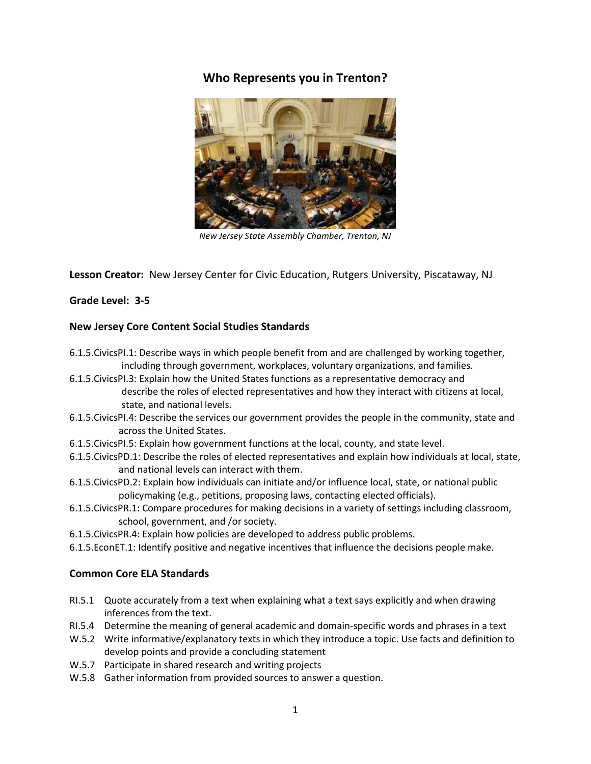# **Who Represents you in Trenton?**



*New Jersey State Assembly Chamber, Trenton, NJ*

**Lesson Creator:** New Jersey Center for Civic Education, Rutgers University, Piscataway, NJ

# **Grade Level: 3-5**

#### **New Jersey Core Content Social Studies Standards**

- 6.1.5.CivicsPI.1: Describe ways in which people benefit from and are challenged by working together, including through government, workplaces, voluntary organizations, and families.
- 6.1.5.CivicsPI.3: Explain how the United States functions as a representative democracy and describe the roles of elected representatives and how they interact with citizens at local, state, and national levels.
- 6.1.5.CivicsPI.4: Describe the services our government provides the people in the community, state and across the United States.
- 6.1.5.CivicsPI.5: Explain how government functions at the local, county, and state level.
- 6.1.5.CivicsPD.1: Describe the roles of elected representatives and explain how individuals at local, state, and national levels can interact with them.
- 6.1.5.CivicsPD.2: Explain how individuals can initiate and/or influence local, state, or national public policymaking (e.g., petitions, proposing laws, contacting elected officials).
- 6.1.5.CivicsPR.1: Compare procedures for making decisions in a variety of settings including classroom, school, government, and /or society.
- 6.1.5.CivicsPR.4: Explain how policies are developed to address public problems.
- 6.1.5.EconET.1: Identify positive and negative incentives that influence the decisions people make.

# **Common Core ELA Standards**

- RI.5.1 Quote accurately from a text when explaining what a text says explicitly and when drawing inferences from the text.
- RI.5.4 Determine the meaning of general academic and domain-specific words and phrases in a text
- W.5.2 Write informative/explanatory texts in which they introduce a topic. Use facts and definition to develop points and provide a concluding statement
- W.5.7 Participate in shared research and writing projects
- W.5.8 Gather information from provided sources to answer a question.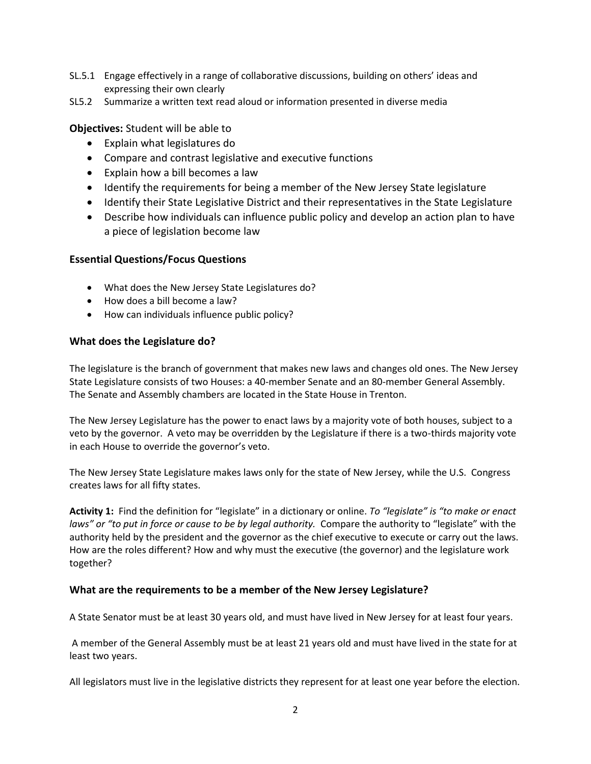- SL.5.1 Engage effectively in a range of collaborative discussions, building on others' ideas and expressing their own clearly
- SL5.2 Summarize a written text read aloud or information presented in diverse media

# **Objectives:** Student will be able to

- Explain what legislatures do
- Compare and contrast legislative and executive functions
- Explain how a bill becomes a law
- Identify the requirements for being a member of the New Jersey State legislature
- Identify their State Legislative District and their representatives in the State Legislature
- Describe how individuals can influence public policy and develop an action plan to have a piece of legislation become law

# **Essential Questions/Focus Questions**

- What does the New Jersey State Legislatures do?
- How does a bill become a law?
- How can individuals influence public policy?

#### **What does the Legislature do?**

The legislature is the branch of government that makes new laws and changes old ones. The New Jersey State Legislature consists of two Houses: a 40-member Senate and an 80-member General Assembly. The Senate and Assembly chambers are located in the State House in Trenton.

The New Jersey Legislature has the power to enact laws by a majority vote of both houses, subject to a veto by the governor. A veto may be overridden by the Legislature if there is a two-thirds majority vote in each House to override the governor's veto.

The New Jersey State Legislature makes laws only for the state of New Jersey, while the U.S. Congress creates laws for all fifty states.

**Activity 1:** Find the definition for "legislate" in a dictionary or online. *To "legislate" is "to make or enact laws" or "to put in force or cause to be by legal authority.* Compare the authority to "legislate" with the authority held by the president and the governor as the chief executive to execute or carry out the laws. How are the roles different? How and why must the executive (the governor) and the legislature work together?

# **What are the requirements to be a member of the New Jersey Legislature?**

A State Senator must be at least 30 years old, and must have lived in New Jersey for at least four years.

A member of the General Assembly must be at least 21 years old and must have lived in the state for at least two years.

All legislators must live in the legislative districts they represent for at least one year before the election.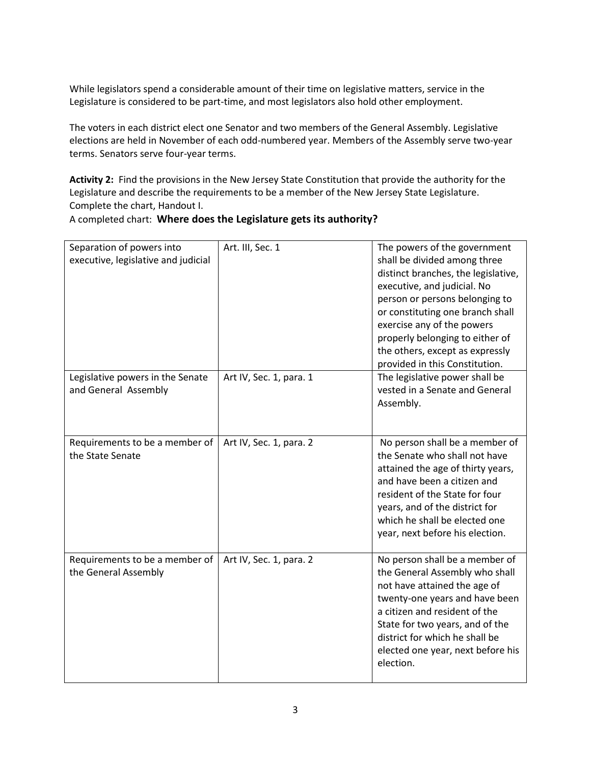While legislators spend a considerable amount of their time on legislative matters, service in the Legislature is considered to be part-time, and most legislators also hold other employment.

The voters in each district elect one Senator and two members of the General Assembly. Legislative elections are held in November of each odd-numbered year. Members of the Assembly serve two-year terms. Senators serve four-year terms.

**Activity 2:** Find the provisions in the New Jersey State Constitution that provide the authority for the Legislature and describe the requirements to be a member of the New Jersey State Legislature. Complete the chart, Handout I.

#### A completed chart: **Where does the Legislature gets its authority?**

| Separation of powers into<br>executive, legislative and judicial | Art. III, Sec. 1        | The powers of the government<br>shall be divided among three<br>distinct branches, the legislative,<br>executive, and judicial. No<br>person or persons belonging to<br>or constituting one branch shall<br>exercise any of the powers<br>properly belonging to either of<br>the others, except as expressly<br>provided in this Constitution. |
|------------------------------------------------------------------|-------------------------|------------------------------------------------------------------------------------------------------------------------------------------------------------------------------------------------------------------------------------------------------------------------------------------------------------------------------------------------|
| Legislative powers in the Senate<br>and General Assembly         | Art IV, Sec. 1, para. 1 | The legislative power shall be<br>vested in a Senate and General<br>Assembly.                                                                                                                                                                                                                                                                  |
| Requirements to be a member of<br>the State Senate               | Art IV, Sec. 1, para. 2 | No person shall be a member of<br>the Senate who shall not have<br>attained the age of thirty years,<br>and have been a citizen and<br>resident of the State for four<br>years, and of the district for<br>which he shall be elected one<br>year, next before his election.                                                                    |
| Requirements to be a member of<br>the General Assembly           | Art IV, Sec. 1, para. 2 | No person shall be a member of<br>the General Assembly who shall<br>not have attained the age of<br>twenty-one years and have been<br>a citizen and resident of the<br>State for two years, and of the<br>district for which he shall be<br>elected one year, next before his<br>election.                                                     |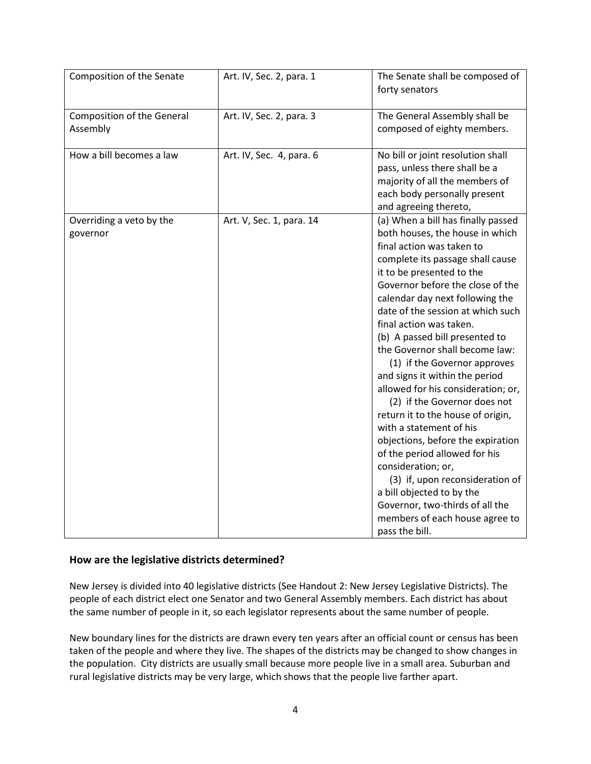| Composition of the Senate                     | Art. IV, Sec. 2, para. 1 | The Senate shall be composed of<br>forty senators                                                                                                                                                                                                                                                                                                                                                                                                                                                                                                                                                                                                                                                                                                                                                                                         |
|-----------------------------------------------|--------------------------|-------------------------------------------------------------------------------------------------------------------------------------------------------------------------------------------------------------------------------------------------------------------------------------------------------------------------------------------------------------------------------------------------------------------------------------------------------------------------------------------------------------------------------------------------------------------------------------------------------------------------------------------------------------------------------------------------------------------------------------------------------------------------------------------------------------------------------------------|
| <b>Composition of the General</b><br>Assembly | Art. IV, Sec. 2, para. 3 | The General Assembly shall be<br>composed of eighty members.                                                                                                                                                                                                                                                                                                                                                                                                                                                                                                                                                                                                                                                                                                                                                                              |
| How a bill becomes a law                      | Art. IV, Sec. 4, para. 6 | No bill or joint resolution shall<br>pass, unless there shall be a<br>majority of all the members of<br>each body personally present<br>and agreeing thereto,                                                                                                                                                                                                                                                                                                                                                                                                                                                                                                                                                                                                                                                                             |
| Overriding a veto by the<br>governor          | Art. V, Sec. 1, para. 14 | (a) When a bill has finally passed<br>both houses, the house in which<br>final action was taken to<br>complete its passage shall cause<br>it to be presented to the<br>Governor before the close of the<br>calendar day next following the<br>date of the session at which such<br>final action was taken.<br>(b) A passed bill presented to<br>the Governor shall become law:<br>(1) if the Governor approves<br>and signs it within the period<br>allowed for his consideration; or,<br>(2) if the Governor does not<br>return it to the house of origin,<br>with a statement of his<br>objections, before the expiration<br>of the period allowed for his<br>consideration; or,<br>(3) if, upon reconsideration of<br>a bill objected to by the<br>Governor, two-thirds of all the<br>members of each house agree to<br>pass the bill. |

#### **How are the legislative districts determined?**

New Jersey is divided into 40 legislative districts (See Handout 2: New Jersey Legislative Districts). The people of each district elect one Senator and two General Assembly members. Each district has about the same number of people in it, so each legislator represents about the same number of people.

New boundary lines for the districts are drawn every ten years after an official count or census has been taken of the people and where they live. The shapes of the districts may be changed to show changes in the population. City districts are usually small because more people live in a small area. Suburban and rural legislative districts may be very large, which shows that the people live farther apart.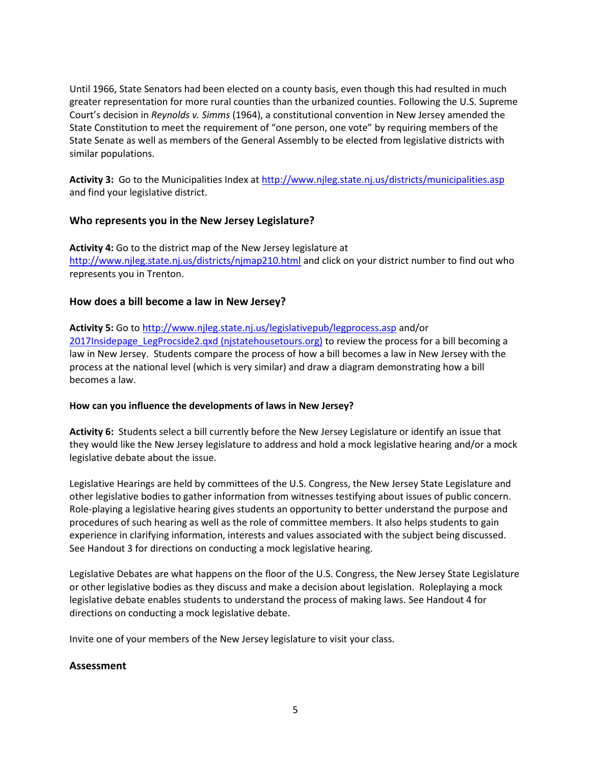Until 1966, State Senators had been elected on a county basis, even though this had resulted in much greater representation for more rural counties than the urbanized counties. Following the U.S. Supreme Court's decision in *Reynolds v. Simms* (1964), a constitutional convention in New Jersey amended the State Constitution to meet the requirement of "one person, one vote" by requiring members of the State Senate as well as members of the General Assembly to be elected from legislative districts with similar populations.

**Activity 3:** Go to the Municipalities Index at<http://www.njleg.state.nj.us/districts/municipalities.asp> and find your legislative district.

#### **Who represents you in the New Jersey Legislature?**

**Activity 4:** Go to the district map of the New Jersey legislature at <http://www.njleg.state.nj.us/districts/njmap210.html> and click on your district number to find out who represents you in Trenton.

#### **How does a bill become a law in New Jersey?**

**Activity 5:** Go t[o http://www.njleg.state.nj.us/legislativepub/legprocess.asp](http://www.njleg.state.nj.us/legislativepub/legprocess.asp) and/or [2017Insidepage\\_LegProcside2.qxd \(njstatehousetours.org\)](https://njstatehousetours.org/tour/wp-content/uploads/2017/12/2017Insidepage_LegProcside2.pdf) to review the process for a bill becoming a law in New Jersey. Students compare the process of how a bill becomes a law in New Jersey with the process at the national level (which is very similar) and draw a diagram demonstrating how a bill becomes a law.

#### **How can you influence the developments of laws in New Jersey?**

**Activity 6:** Students select a bill currently before the New Jersey Legislature or identify an issue that they would like the New Jersey legislature to address and hold a mock legislative hearing and/or a mock legislative debate about the issue.

Legislative Hearings are held by committees of the U.S. Congress, the New Jersey State Legislature and other legislative bodies to gather information from witnesses testifying about issues of public concern. Role-playing a legislative hearing gives students an opportunity to better understand the purpose and procedures of such hearing as well as the role of committee members. It also helps students to gain experience in clarifying information, interests and values associated with the subject being discussed. See Handout 3 for directions on conducting a mock legislative hearing.

Legislative Debates are what happens on the floor of the U.S. Congress, the New Jersey State Legislature or other legislative bodies as they discuss and make a decision about legislation. Roleplaying a mock legislative debate enables students to understand the process of making laws. See Handout 4 for directions on conducting a mock legislative debate.

Invite one of your members of the New Jersey legislature to visit your class.

#### **Assessment**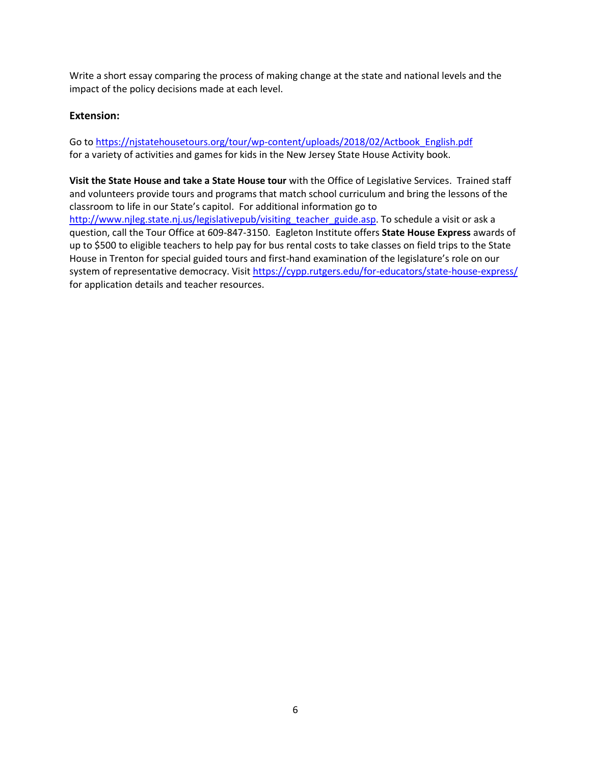Write a short essay comparing the process of making change at the state and national levels and the impact of the policy decisions made at each level.

#### **Extension:**

Go to [https://njstatehousetours.org/tour/wp-content/uploads/2018/02/Actbook\\_English.pdf](https://njstatehousetours.org/tour/wp-content/uploads/2018/02/Actbook_English.pdf) for a variety of activities and games for kids in the New Jersey State House Activity book.

**Visit the State House and take a State House tour** with the Office of Legislative Services. Trained staff and volunteers provide tours and programs that match school curriculum and bring the lessons of the classroom to life in our State's capitol. For additional information go to [http://www.njleg.state.nj.us/legislativepub/visiting\\_teacher\\_guide.asp.](http://www.njleg.state.nj.us/legislativepub/visiting_teacher_guide.asp) To schedule a visit or ask a question, call the Tour Office at 609-847-3150. Eagleton Institute offers **State House Express** awards of up to \$500 to eligible teachers to help pay for bus rental costs to take classes on field trips to the State House in Trenton for special guided tours and first-hand examination of the legislature's role on our system of representative democracy. Visit<https://cypp.rutgers.edu/for-educators/state-house-express/> for application details and teacher resources.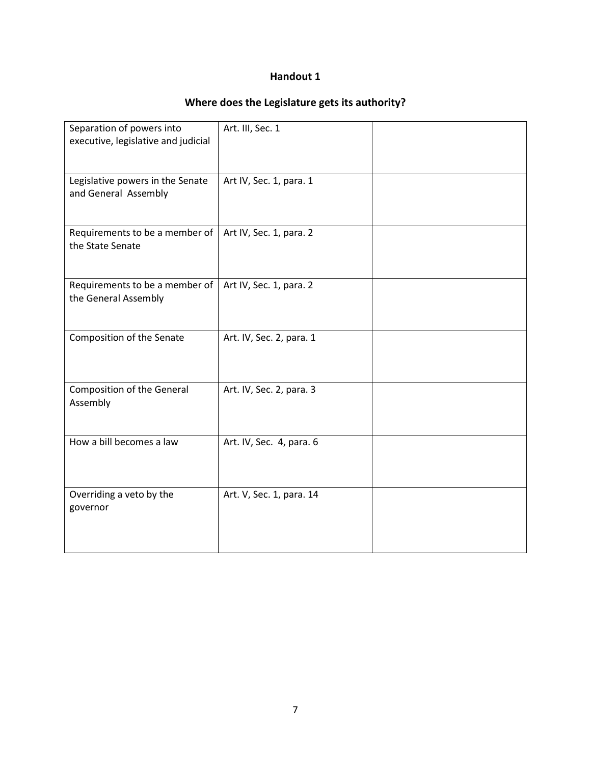# **Where does the Legislature gets its authority?**

| Separation of powers into<br>executive, legislative and judicial | Art. III, Sec. 1         |  |
|------------------------------------------------------------------|--------------------------|--|
| Legislative powers in the Senate<br>and General Assembly         | Art IV, Sec. 1, para. 1  |  |
| Requirements to be a member of<br>the State Senate               | Art IV, Sec. 1, para. 2  |  |
| Requirements to be a member of                                   | Art IV, Sec. 1, para. 2  |  |
| the General Assembly                                             |                          |  |
| Composition of the Senate                                        | Art. IV, Sec. 2, para. 1 |  |
| <b>Composition of the General</b><br>Assembly                    | Art. IV, Sec. 2, para. 3 |  |
| How a bill becomes a law                                         | Art. IV, Sec. 4, para. 6 |  |
| Overriding a veto by the<br>governor                             | Art. V, Sec. 1, para. 14 |  |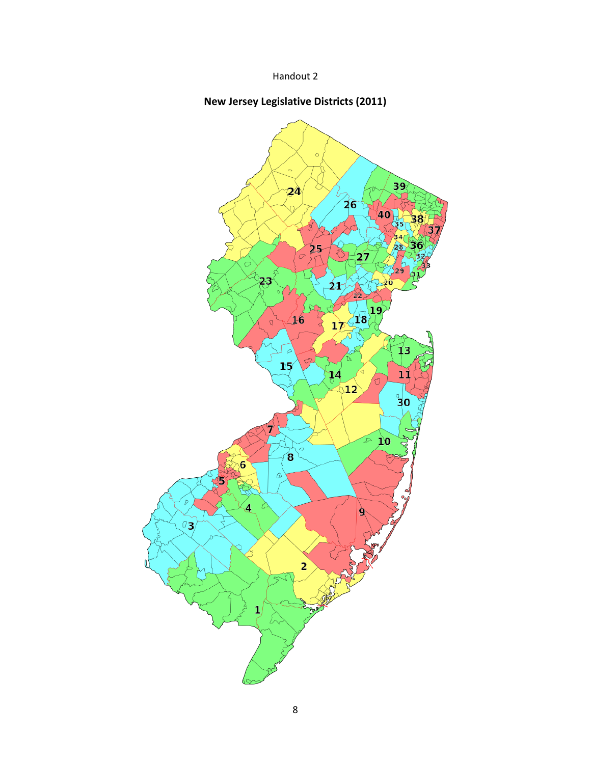# **New Jersey Legislative Districts (2011)**

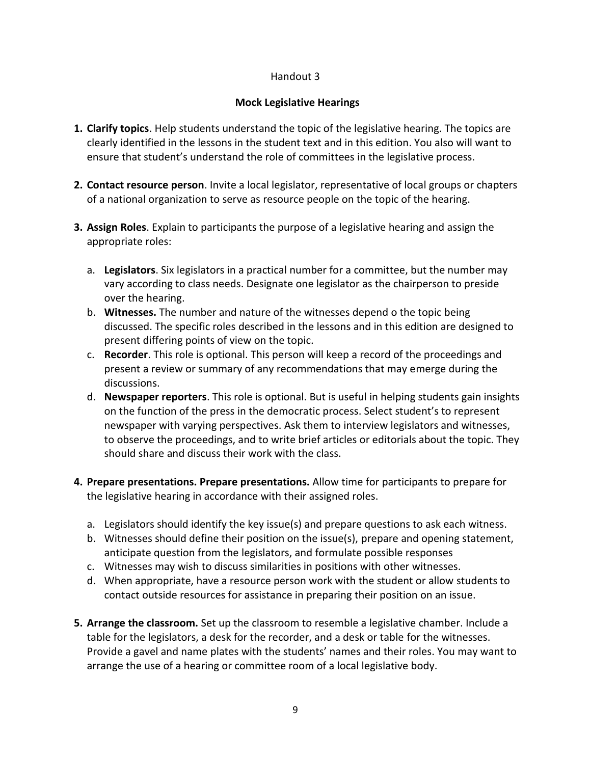# **Mock Legislative Hearings**

- **1. Clarify topics**. Help students understand the topic of the legislative hearing. The topics are clearly identified in the lessons in the student text and in this edition. You also will want to ensure that student's understand the role of committees in the legislative process.
- **2. Contact resource person**. Invite a local legislator, representative of local groups or chapters of a national organization to serve as resource people on the topic of the hearing.
- **3. Assign Roles**. Explain to participants the purpose of a legislative hearing and assign the appropriate roles:
	- a. **Legislators**. Six legislators in a practical number for a committee, but the number may vary according to class needs. Designate one legislator as the chairperson to preside over the hearing.
	- b. **Witnesses.** The number and nature of the witnesses depend o the topic being discussed. The specific roles described in the lessons and in this edition are designed to present differing points of view on the topic.
	- c. **Recorder**. This role is optional. This person will keep a record of the proceedings and present a review or summary of any recommendations that may emerge during the discussions.
	- d. **Newspaper reporters**. This role is optional. But is useful in helping students gain insights on the function of the press in the democratic process. Select student's to represent newspaper with varying perspectives. Ask them to interview legislators and witnesses, to observe the proceedings, and to write brief articles or editorials about the topic. They should share and discuss their work with the class.
- **4. Prepare presentations. Prepare presentations.** Allow time for participants to prepare for the legislative hearing in accordance with their assigned roles.
	- a. Legislators should identify the key issue(s) and prepare questions to ask each witness.
	- b. Witnesses should define their position on the issue(s), prepare and opening statement, anticipate question from the legislators, and formulate possible responses
	- c. Witnesses may wish to discuss similarities in positions with other witnesses.
	- d. When appropriate, have a resource person work with the student or allow students to contact outside resources for assistance in preparing their position on an issue.
- **5. Arrange the classroom.** Set up the classroom to resemble a legislative chamber. Include a table for the legislators, a desk for the recorder, and a desk or table for the witnesses. Provide a gavel and name plates with the students' names and their roles. You may want to arrange the use of a hearing or committee room of a local legislative body.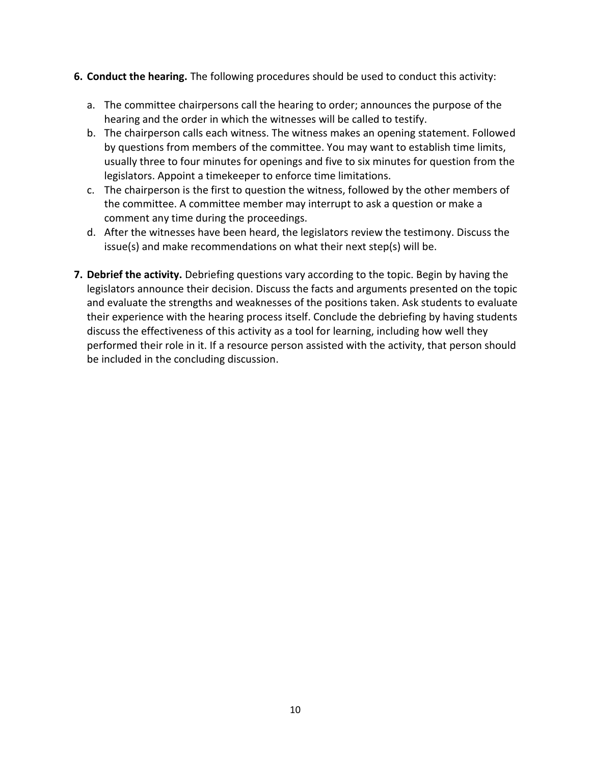- **6. Conduct the hearing.** The following procedures should be used to conduct this activity:
	- a. The committee chairpersons call the hearing to order; announces the purpose of the hearing and the order in which the witnesses will be called to testify.
	- b. The chairperson calls each witness. The witness makes an opening statement. Followed by questions from members of the committee. You may want to establish time limits, usually three to four minutes for openings and five to six minutes for question from the legislators. Appoint a timekeeper to enforce time limitations.
	- c. The chairperson is the first to question the witness, followed by the other members of the committee. A committee member may interrupt to ask a question or make a comment any time during the proceedings.
	- d. After the witnesses have been heard, the legislators review the testimony. Discuss the issue(s) and make recommendations on what their next step(s) will be.
- **7. Debrief the activity.** Debriefing questions vary according to the topic. Begin by having the legislators announce their decision. Discuss the facts and arguments presented on the topic and evaluate the strengths and weaknesses of the positions taken. Ask students to evaluate their experience with the hearing process itself. Conclude the debriefing by having students discuss the effectiveness of this activity as a tool for learning, including how well they performed their role in it. If a resource person assisted with the activity, that person should be included in the concluding discussion.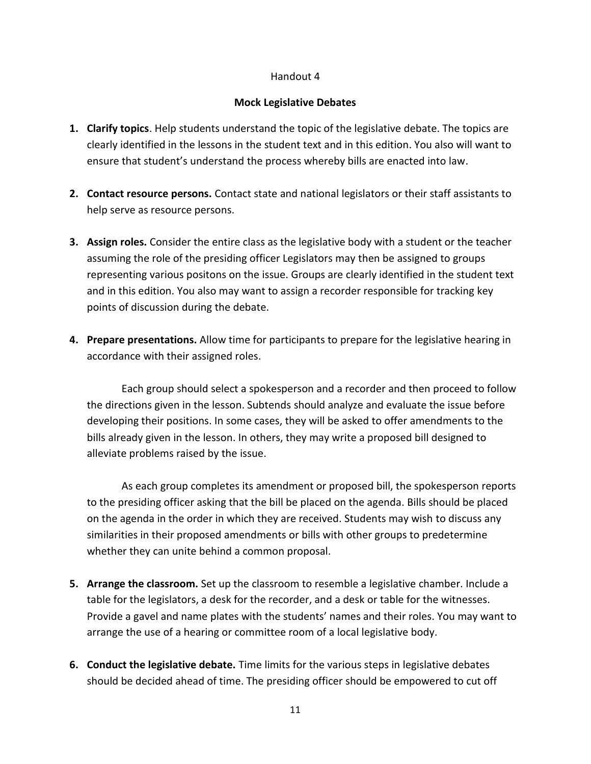# **Mock Legislative Debates**

- **1. Clarify topics**. Help students understand the topic of the legislative debate. The topics are clearly identified in the lessons in the student text and in this edition. You also will want to ensure that student's understand the process whereby bills are enacted into law.
- **2. Contact resource persons.** Contact state and national legislators or their staff assistants to help serve as resource persons.
- **3. Assign roles.** Consider the entire class as the legislative body with a student or the teacher assuming the role of the presiding officer Legislators may then be assigned to groups representing various positons on the issue. Groups are clearly identified in the student text and in this edition. You also may want to assign a recorder responsible for tracking key points of discussion during the debate.
- **4. Prepare presentations.** Allow time for participants to prepare for the legislative hearing in accordance with their assigned roles.

Each group should select a spokesperson and a recorder and then proceed to follow the directions given in the lesson. Subtends should analyze and evaluate the issue before developing their positions. In some cases, they will be asked to offer amendments to the bills already given in the lesson. In others, they may write a proposed bill designed to alleviate problems raised by the issue.

As each group completes its amendment or proposed bill, the spokesperson reports to the presiding officer asking that the bill be placed on the agenda. Bills should be placed on the agenda in the order in which they are received. Students may wish to discuss any similarities in their proposed amendments or bills with other groups to predetermine whether they can unite behind a common proposal.

- **5. Arrange the classroom.** Set up the classroom to resemble a legislative chamber. Include a table for the legislators, a desk for the recorder, and a desk or table for the witnesses. Provide a gavel and name plates with the students' names and their roles. You may want to arrange the use of a hearing or committee room of a local legislative body.
- **6. Conduct the legislative debate.** Time limits for the various steps in legislative debates should be decided ahead of time. The presiding officer should be empowered to cut off